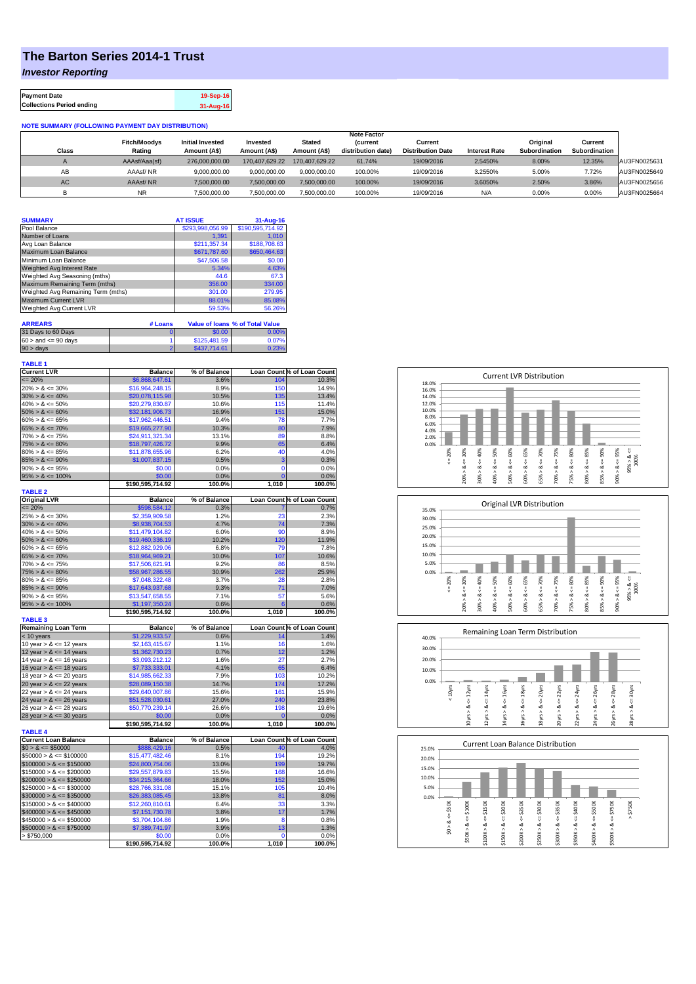## **The Barton Series 2014-1 Trust**

*Investor Reporting*

| <b>Payment Date</b>              | 19-Sep-16 |
|----------------------------------|-----------|
| <b>Collections Period ending</b> | 31-Aug-16 |

## **NOTE SUMMARY (FOLLOWING PAYMENT DAY DISTRIBUTION)**

|            |                               |                                         |                          |                               | <b>Note Factor</b>                   |                                     |                      |                           |                          |              |
|------------|-------------------------------|-----------------------------------------|--------------------------|-------------------------------|--------------------------------------|-------------------------------------|----------------------|---------------------------|--------------------------|--------------|
| Class      | <b>Fitch/Moodys</b><br>Rating | <b>Initial Invested</b><br>Amount (A\$) | Invested<br>Amount (A\$) | <b>Stated</b><br>Amount (A\$) | <b>Current</b><br>distribution date) | Current<br><b>Distribution Date</b> | <b>Interest Rate</b> | Original<br>Subordination | Current<br>Subordination |              |
| $\sqrt{2}$ | AAAsf/Aaa(sf)                 | 276,000,000,00                          | 170.407.629.22           | 170.407.629.22                | 61.74%                               | 19/09/2016                          | 2.5450%              | 8.00%                     | 12.35%                   | AU3FN0025631 |
| AВ         | AAAsf/NR                      | 9.000.000.00                            | 9.000.000.00             | 9.000.000.00                  | 100.00%                              | 19/09/2016                          | 3.2550%              | 5.00%                     | 7.72%                    | AU3FN0025649 |
| AC.        | AAAsf/NR                      | 7.500.000.00                            | 7.500.000.00             | 7.500.000.00                  | 100.00%                              | 19/09/2016                          | 3.6050%              | 2.50%                     | 3.86%                    | AU3FN0025656 |
|            | NR                            | 7,500,000.00                            | 7,500,000.00             | 7,500,000.00                  | 100.00%                              | 19/09/2016                          | N/A                  | 0.00%                     | 0.00%                    | AU3FN0025664 |

| <b>SUMMARY</b>                     |         | <b>AT ISSUE</b>  | $31 - Aug-16$                          |
|------------------------------------|---------|------------------|----------------------------------------|
| Pool Balance                       |         | \$293,998,056.99 | \$190,595,714.92                       |
| Number of Loans                    |         | 1.391            | 1.010                                  |
| Avg Loan Balance                   |         | \$211,357.34     | \$188,708.63                           |
| Maximum Loan Balance               |         | \$671,787.60     | \$650,464.63                           |
| Minimum Loan Balance               |         | \$47,506.58      | \$0.00                                 |
| <b>Weighted Avg Interest Rate</b>  |         | 5.34%            | 4.63%                                  |
| Weighted Avg Seasoning (mths)      |         | 44.6             | 67.3                                   |
| Maximum Remaining Term (mths)      |         | 356.00           | 334.00                                 |
| Weighted Avg Remaining Term (mths) |         | 301.00           | 279.95                                 |
| Maximum Current LVR                |         | 88.01%           | 85.08%                                 |
| Weighted Avg Current LVR           |         | 59.53%           | 56.26%                                 |
|                                    |         |                  |                                        |
| <b>ARREARS</b>                     | # Loans |                  | <b>Value of loans % of Total Value</b> |
| 31 Dave to 60 Dave                 |         | <b>CO OD</b>     | <b>NOON</b>                            |

| 31 Days to 60 Days        | $0.00*$      | $0.00\%$ |
|---------------------------|--------------|----------|
| $60 >$ and $\leq 90$ days | \$125,481.59 | 0.07%    |
| $90 > \text{days}$        | \$437,714,61 | 0.23%    |
|                           |              |          |

| <b>TABLE 1</b>                               |                  |              |                |                            |
|----------------------------------------------|------------------|--------------|----------------|----------------------------|
| <b>Current LVR</b>                           | Balance          | % of Balance |                | Loan Count % of Loan Count |
| $= 20%$                                      | \$6,868,647.61   | 3.6%         | 104            | 10.3%                      |
| $20\% > 8 \le 30\%$                          | \$16,964,248.15  | 8.9%         | 150            | 14.9%                      |
| $30\% > 8 \le 40\%$                          | \$20,078,115.98  | 10.5%        | 135            | 13.4%                      |
| $40\% > 8 \le 50\%$                          | \$20,279,830.87  | 10.6%        | 115            | 11.4%                      |
| $50\% > 8 \le 60\%$                          | \$32,181,906.73  | 16.9%        | 151            | 15.0%                      |
| $60\% > 8 \le 65\%$                          | \$17,962,446.51  | 9.4%         | 78             | 7.7%                       |
| $65\% > 8 \le 70\%$                          | \$19,665,277.90  | 10.3%        | 80             | 7.9%                       |
| $70\% > 8 \le 75\%$                          | \$24,911,321.34  | 13.1%        | 89             | 8.8%                       |
| $75\% > 8 \le 80\%$                          | \$18,797,426.72  | 9.9%         | 65             | 6.4%                       |
| $80\% > 8 \le 85\%$                          | \$11,878,655.96  | 6.2%         | 40             | 4.0%                       |
| $85\% > 8 \le 90\%$                          | \$1,007,837.15   | 0.5%         | 3              | 0.3%                       |
| $90\% > 8 \le 95\%$                          | \$0.00           | 0.0%         | $\mathbf 0$    | 0.0%                       |
| $95\% > 8 \le 100\%$                         | \$0.00           | 0.0%         | $\overline{0}$ | 0.0%                       |
|                                              | \$190,595,714.92 | 100.0%       | 1,010          | 100.0%                     |
| <b>TABLE 2</b>                               |                  |              |                |                            |
| <b>Original LVR</b>                          | <b>Balance</b>   | % of Balance |                | Loan Count % of Loan Count |
| $= 20%$                                      | \$598,584.12     | 0.3%         |                | 0.7%                       |
| $25\% > 8 \le 30\%$                          | \$2,359,909.58   | 1.2%         | 23             | 2.3%                       |
| $30\% > 8 \le 40\%$                          | \$8,938,704.53   | 4.7%         | 74             | 7.3%                       |
| $40\% > 8 \le 50\%$                          | \$11,479,104.82  | 6.0%         | 90             | 8.9%                       |
| $50\% > 8 \le 60\%$                          | \$19,460,336.19  | 10.2%        | 120            | 11.9%                      |
| $60\% > 8 \le 65\%$                          | \$12,882,929.06  | 6.8%         | 79             | 7.8%                       |
| $65\% > 8 \le 70\%$                          | \$18,964,969.21  | 10.0%        | 107            | 10.6%                      |
| $70\% > 8 \le 75\%$                          | \$17,506,621.91  | 9.2%         | 86             | 8.5%                       |
| $75\% > 8 \le 80\%$                          | \$58,967,286.55  | 30.9%        | 262            | 25.9%                      |
| $80\% > 8 \le 85\%$                          | \$7,048,322.48   | 3.7%         | 28             | 2.8%                       |
| $85\% > 8 \le 90\%$                          | \$17,643,937.68  | 9.3%         | 71             | 7.0%                       |
| $90\% > 8 \le 95\%$                          | \$13,547,658.55  | 7.1%         | 57             | 5.6%                       |
| $95\% > 8 \le 100\%$                         | \$1,197,350.24   | 0.6%         | 6              | 0.6%                       |
|                                              | \$190,595,714.92 | 100.0%       | 1,010          | 100.0%                     |
| <b>TABLE 3</b><br><b>Remaining Loan Term</b> | <b>Balance</b>   | % of Balance |                | Loan Count % of Loan Count |
| < 10 years                                   | \$1,229,933.57   | 0.6%         | 14             | 1.4%                       |
| 10 year $> 8 \le 12$ years                   | \$2,163,415.67   | 1.1%         | 16             | 1.6%                       |
| 12 year $> 8 \le 14$ years                   | \$1,362,730.23   | 0.7%         | 12             | 1.2%                       |
| 14 year $> 8 \le 16$ years                   | \$3,093,212.12   | 1.6%         | 27             | 2.7%                       |
| 16 year $> 8 \le 18$ years                   | \$7,733,333.01   | 4.1%         | 65             | 6.4%                       |
| 18 year $> 8 \le 20$ years                   | \$14,985,662.33  | 7.9%         | 103            | 10.2%                      |
| 20 year $> 8 \le 22$ years                   | \$28,089,150.38  | 14.7%        | 174            | 17.2%                      |
| 22 year $> 8 \le 24$ years                   | \$29,640,007.86  | 15.6%        | 161            | 15.9%                      |
| 24 year $> 8 \le 26$ years                   | \$51,528,030.61  | 27.0%        | 240            | 23.8%                      |
| 26 year $> 8 \le 28$ years                   | \$50,770,239.14  | 26.6%        | 198            | 19.6%                      |
| 28 year $> 8 \le 30$ years                   | \$0.00           | 0.0%         | $\overline{0}$ | 0.0%                       |
|                                              | \$190,595,714.92 | 100.0%       | 1,010          | 100.0%                     |
| <b>TABLE 4</b>                               |                  |              |                |                            |
| <b>Current Loan Balance</b>                  | <b>Balance</b>   | % of Balance |                | Loan Count % of Loan Count |
| $$0 > 8 \leq $50000$                         | \$888,429.16     | 0.5%         | 40             | 4.0%                       |
| $$50000 > 8 \le $100000$                     | \$15,477,482.46  | 8.1%         | 194            | 19.2%                      |
| $$100000 > 8 \leq $150000$                   | \$24,800,754.06  | 13.0%        | 199            | 19.7%                      |
| $$150000 > 8 \leq $200000$                   | \$29,557,879.83  | 15.5%        | 168            | 16.6%                      |
| $$200000 > 8 \leq $250000$                   | \$34,215,364.66  | 18.0%        | 152            | 15.0%                      |
| $$250000 > 8 \leq $300000$                   | \$28,766,331.08  | 15.1%        | 105            | 10.4%                      |
| $$300000 > 8 \leq $350000$                   | \$26,383,085.45  | 13.8%        | 81             | 8.0%                       |
| $$350000 > 8 \leq $400000$                   | \$12,260,810.61  | 6.4%         | 33             | 3.3%                       |
| $$400000 > 8 \leq $450000$                   | \$7,151,730.78   | 3.8%         | 17             | 1.7%                       |
| $$450000 > 8 \le $500000$                    | \$3,704,104.86   | 1.9%         | 8              | 0.8%                       |
| $$500000 > 8 \leq $750000$                   | \$7,389,741.97   | 3.9%         | 13             | 1.3%                       |
| > \$750,000                                  | \$0.00           | 0.0%         | 0              | 0.0%                       |
|                                              | \$190,595,714.92 | 100.0%       | 1,010          | 100.0%                     |
|                                              |                  |              |                |                            |